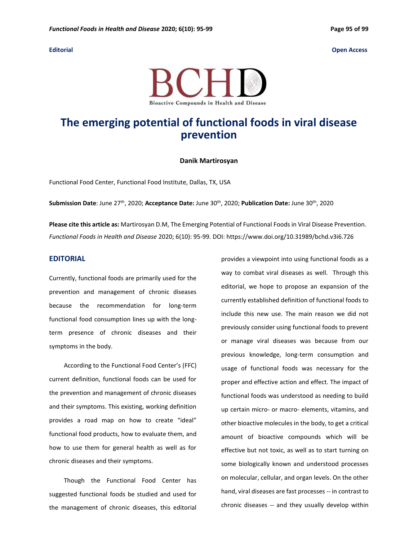

## **The emerging potential of functional foods in viral disease prevention**

## **Danik Martirosyan**

Functional Food Center, Functional Food Institute, Dallas, TX, USA

**Submission Date**: June 27th , 2020; **Acceptance Date:** June 30th , 2020; **Publication Date:** June 30th , 2020

**Please cite this article as:** Martirosyan D.M, The Emerging Potential of Functional Foods in Viral Disease Prevention. *Functional Foods in Health and Disease* 2020; 6(10): 95-99. DOI: https://www.doi.org/10.31989/bchd.v3i6.726

## **EDITORIAL**

Currently, functional foods are primarily used for the prevention and management of chronic diseases because the recommendation for long-term functional food consumption lines up with the longterm presence of chronic diseases and their symptoms in the body.

According to the Functional Food Center's (FFC) current definition, functional foods can be used for the prevention and management of chronic diseases and their symptoms. This existing, working definition provides a road map on how to create "ideal" functional food products, how to evaluate them, and how to use them for general health as well as for chronic diseases and their symptoms.

Though the Functional Food Center has suggested functional foods be studied and used for the management of chronic diseases, this editorial provides a viewpoint into using functional foods as a way to combat viral diseases as well. Through this editorial, we hope to propose an expansion of the currently established definition of functional foods to include this new use. The main reason we did not previously consider using functional foods to prevent or manage viral diseases was because from our previous knowledge, long-term consumption and usage of functional foods was necessary for the proper and effective action and effect. The impact of functional foods was understood as needing to build up certain micro- or macro- elements, vitamins, and other bioactive molecules in the body, to get a critical amount of bioactive compounds which will be effective but not toxic, as well as to start turning on some biologically known and understood processes on molecular, cellular, and organ levels. On the other hand, viral diseases are fast processes -- in contrast to chronic diseases -- and they usually develop within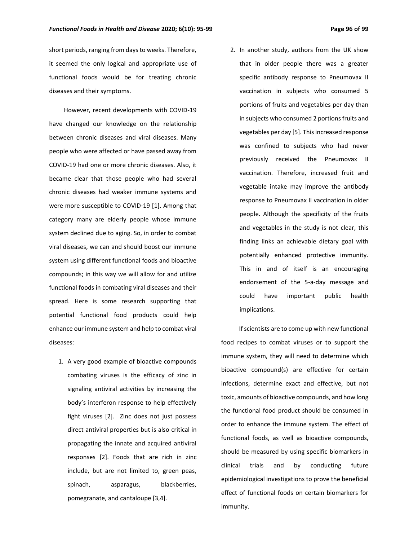short periods, ranging from days to weeks. Therefore, it seemed the only logical and appropriate use of functional foods would be for treating chronic diseases and their symptoms.

However, recent developments with COVID-19 have changed our knowledge on the relationship between chronic diseases and viral diseases. Many people who were affected or have passed away from COVID-19 had one or more chronic diseases. Also, it became clear that those people who had several chronic diseases had weaker immune systems and were more susceptible to COVID-19 [1]. Among that category many are elderly people whose immune system declined due to aging. So, in order to combat viral diseases, we can and should boost our immune system using different functional foods and bioactive compounds; in this way we will allow for and utilize functional foods in combating viral diseases and their spread. Here is some research supporting that potential functional food products could help enhance our immune system and help to combat viral diseases:

- 1. A very good example of bioactive compounds combating viruses is the efficacy of zinc in signaling antiviral activities by increasing the body's interferon response to help effectively fight viruses [2]. Zinc does not just possess direct antiviral properties but is also critical in propagating the innate and acquired antiviral responses [2]. Foods that are rich in zinc include, but are not limited to, green peas, spinach, asparagus, blackberries, pomegranate, and cantaloupe [3,4].
- 2. In another study, authors from the UK show that in older people there was a greater specific antibody response to Pneumovax II vaccination in subjects who consumed 5 portions of fruits and vegetables per day than in subjects who consumed 2 portions fruits and vegetables per day [5]. This increased response was confined to subjects who had never previously received the Pneumovax II vaccination. Therefore, increased fruit and vegetable intake may improve the antibody response to Pneumovax II vaccination in older people. Although the specificity of the fruits and vegetables in the study is not clear, this finding links an achievable dietary goal with potentially enhanced protective immunity. This in and of itself is an encouraging endorsement of the 5-a-day message and could have important public health implications.

 If scientists are to come up with new functional food recipes to combat viruses or to support the immune system, they will need to determine which bioactive compound(s) are effective for certain infections, determine exact and effective, but not toxic, amounts of bioactive compounds, and how long the functional food product should be consumed in order to enhance the immune system. The effect of functional foods, as well as bioactive compounds, should be measured by using specific biomarkers in clinical trials and by conducting future epidemiological investigations to prove the beneficial effect of functional foods on certain biomarkers for immunity.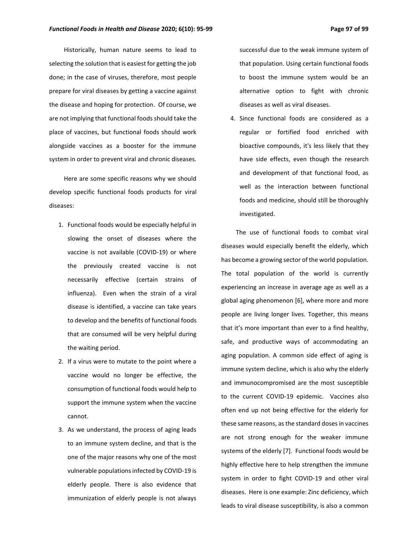Historically, human nature seems to lead to selecting the solution that is easiest for getting the job done; in the case of viruses, therefore, most people prepare for viral diseases by getting a vaccine against the disease and hoping for protection. Of course, we are not implying that functional foods should take the place of vaccines, but functional foods should work alongside vaccines as a booster for the immune system in order to prevent viral and chronic diseases.

Here are some specific reasons why we should develop specific functional foods products for viral diseases:

- 1. Functional foods would be especially helpful in slowing the onset of diseases where the vaccine is not available (COVID-19) or where the previously created vaccine is not necessarily effective (certain strains of influenza). Even when the strain of a viral disease is identified, a vaccine can take years to develop and the benefits of functional foods that are consumed will be very helpful during the waiting period.
- 2. If a virus were to mutate to the point where a vaccine would no longer be effective, the consumption of functional foods would help to support the immune system when the vaccine cannot.
- 3. As we understand, the process of aging leads to an immune system decline, and that is the one of the major reasons why one of the most vulnerable populations infected by COVID-19 is elderly people. There is also evidence that immunization of elderly people is not always

successful due to the weak immune system of that population. Using certain functional foods to boost the immune system would be an alternative option to fight with chronic diseases as well as viral diseases.

4. Since functional foods are considered as a regular or fortified food enriched with bioactive compounds, it's less likely that they have side effects, even though the research and development of that functional food, as well as the interaction between functional foods and medicine, should still be thoroughly investigated.

The use of functional foods to combat viral diseases would especially benefit the elderly, which has become a growing sector of the world population. The total population of the world is currently experiencing an increase in average age as well as a global aging phenomenon [6], where more and more people are living longer lives. Together, this means that it's more important than ever to a find healthy, safe, and productive ways of accommodating an aging population. A common side effect of aging is immune system decline, which is also why the elderly and immunocompromised are the most susceptible to the current COVID-19 epidemic. Vaccines also often end up not being effective for the elderly for these same reasons, as the standard doses in vaccines are not strong enough for the weaker immune systems of the elderly [7]. Functional foods would be highly effective here to help strengthen the immune system in order to fight COVID-19 and other viral diseases. Here is one example: Zinc deficiency, which leads to viral disease susceptibility, is also a common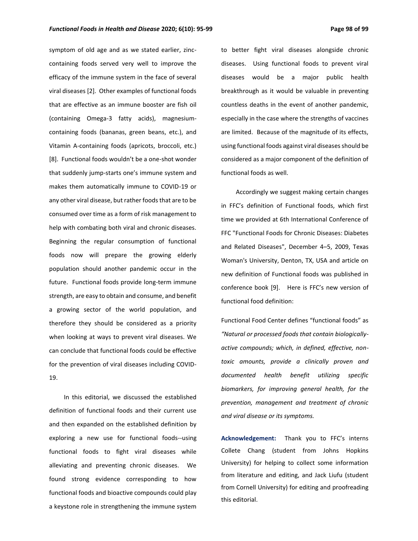symptom of old age and as we stated earlier, zinccontaining foods served very well to improve the efficacy of the immune system in the face of several viral diseases [2]. Other examples of functional foods that are effective as an immune booster are fish oil (containing Omega-3 fatty acids), magnesiumcontaining foods (bananas, green beans, etc.), and Vitamin A-containing foods (apricots, broccoli, etc.) [8]. Functional foods wouldn't be a one-shot wonder that suddenly jump-starts one's immune system and makes them automatically immune to COVID-19 or any other viral disease, but rather foods that are to be consumed over time as a form of risk management to help with combating both viral and chronic diseases. Beginning the regular consumption of functional foods now will prepare the growing elderly population should another pandemic occur in the future. Functional foods provide long-term immune strength, are easy to obtain and consume, and benefit a growing sector of the world population, and therefore they should be considered as a priority when looking at ways to prevent viral diseases. We can conclude that functional foods could be effective for the prevention of viral diseases including COVID-19.

In this editorial, we discussed the established definition of functional foods and their current use and then expanded on the established definition by exploring a new use for functional foods--using functional foods to fight viral diseases while alleviating and preventing chronic diseases. We found strong evidence corresponding to how functional foods and bioactive compounds could play a keystone role in strengthening the immune system

to better fight viral diseases alongside chronic diseases. Using functional foods to prevent viral diseases would be a major public health breakthrough as it would be valuable in preventing countless deaths in the event of another pandemic, especially in the case where the strengths of vaccines are limited. Because of the magnitude of its effects, using functional foods against viral diseases should be considered as a major component of the definition of functional foods as well.

Accordingly we suggest making certain changes in FFC's definition of Functional foods, which first time we provided at 6th International Conference of FFC "Functional Foods for Chronic Diseases: Diabetes and Related Diseases", December 4–5, 2009, Texas Woman's University, Denton, TX, USA and article on new definition of Functional foods was published in conference book [9]. Here is FFC's new version of functional food definition:

Functional Food Center defines "functional foods" as *"Natural or processed foods that contain biologicallyactive compounds; which, in defined, effective, nontoxic amounts, provide a clinically proven and documented health benefit utilizing specific biomarkers, for improving general health, for the prevention, management and treatment of chronic and viral disease or its symptoms.*

**Acknowledgement:** Thank you to FFC's interns Collete Chang (student from Johns Hopkins University) for helping to collect some information from literature and editing, and Jack Liufu (student from Cornell University) for editing and proofreading this editorial.